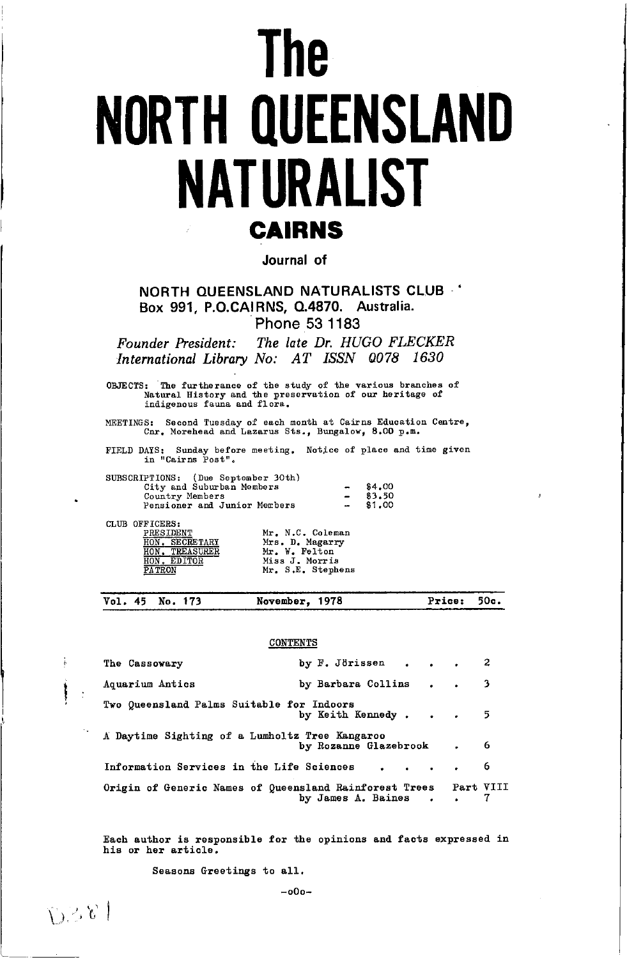# **The NORTH QUEENSLAND NATURALIST CAIRNS**

Journal of

NORTH OUFENSLAND NATURALISTS CLUB Box 991, P.O.CAIRNS, Q.4870. Australia. Phone 53 1183

The late Dr. HUGO FLECKER Founder President: International Library No: AT ISSN 0078 1630

OBJECTS: The furtherance of the study of the various branches of Natural History and the preservation of our heritage of indigenous fauna and flora.

MEETINGS: Second Tuesday of each month at Cairns Education Centre,<br>Cnr. Morehead and Lazarus Sts., Bungalow, 8.00 p.m.

FIELD DAYS: Sunday before meeting. Notice of place and time given<br>in "Cairns Post".

| SUBSCRIPTIONS: (Due September 30th) |                 |        |
|-------------------------------------|-----------------|--------|
| City and Suburban Members           | $\qquad \qquad$ | \$4.00 |
| Country Members                     |                 | 83.50  |
| Pensioner and Junior Members        | $\sim$          | \$1.00 |

CLUB OFFICERS:

į

 $L^3 \leq \ell_2$ 

|               | PRESIDENT        |
|---------------|------------------|
| HON           | <b>SECRETARY</b> |
| HON.          | <b>TREASURER</b> |
| HON.          | <b>EDITOR</b>    |
| <b>PATRON</b> |                  |

|  | Mr. N.C. Coleman                    |
|--|-------------------------------------|
|  | Mrs. D. Magarry<br>Mr. W. Felton    |
|  | Miss J. Morris<br>Mr. S.E. Stephens |

Vol. 45 No. 173 November, 1978 Price: 50c.

#### CONTENTS

| The Cassowary                                          | by $F.$ Jorissen 2        |                               |   |
|--------------------------------------------------------|---------------------------|-------------------------------|---|
| Aquarium Antics                                        | by Barbara Collins 3      |                               |   |
| Two Queensland Palms Suitable for Indoors              | by Keith Kennedy5         |                               |   |
| A Daytime Sighting of a Lumholtz Tree Kangaroo         | by Rozanne Glazebrook . 6 |                               |   |
| Information Services in the Life Sciences              |                           |                               | 6 |
| Origin of Generic Names of Queensland Rainforest Trees | by James A. Baines .      | <b>Part VIII</b><br>$\bullet$ |   |

Each author is responsible for the opinions and facts expressed in his or her article.

Seasons Greetings to all.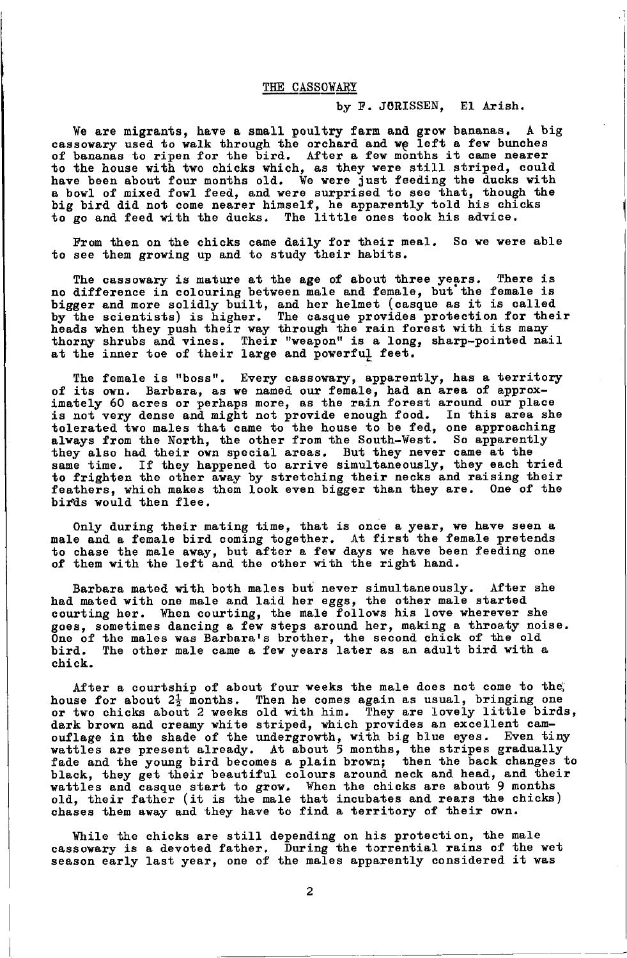# THE CASSOWARY

# by F. J0RISSEN, El Arish.

We are migrants, have a small poultry farm and grow bananas. A big cassowary used to walk through the orchard and we left a few bunches of bananas to ripen for the bird. After a few months it came nearer to the house with two chicks which, as they were still striped, could have been about four months old. We were just feeding the ducks with a bowl of mixed fowl feed, and were surprised to see that, though the big bird did not come nearer himself, he apparently told his chicks to go and feed with the ducks. The little ones took his advice.

From then on the chicks came daily for their meal. So we were able to see them growing up and to study their habits.

The cassorary is mature at the age of about three years. There is no difference in colouring between male and female, but the female is bigger and more solidly built, and her helmet (casque as it is called by the scientists) is higher. The casque provides protection for their heads when they push their way through the rain forest with its many thorny shrubs and vines. Their "weapon" is a long, sharp-pointed nail at the inner toe of their large and powerful feet.

The female is "boss". Every cassowary, apparently, has a territory of its own. Barbara, as we named our female, had an area of approximately 60 acres or perhaps more, as the rain forest around our place is not very dense and might not provide enough food. In this area she tolerated two males that came to the house to be fed, one approaching always from the North, the other from the South-West. So apparently they also had their own special areas. But they never came at the same time. If they happened to arrive simultaneously, they each triet to frighten the other away by stretching their necks and raising their feathers, which nakes then looh even bigger than they are. One of the birds would then flee.

Only during their mating time, that is once a year, we have seen a male and a female bird coming together. At first the female pretends to chase the male away, but after a few days we have been feeding one of them with the left and the other with the right hand.

Barbara mated with both males but never simultaneously. After she had mated with one male and laid her eggs, the other male started courting her. When courting, the male follows his love wherever she goes, sometimes dancing a few steps around her, making a throaty noise. One of the males was Barbara's brother, the second chick of the old bird. The other male came a few years later as an adult bird with a chich.

After a courtship of about four weeks the male does not come to the house for about 2<sup>1</sup> months. Then he comes again as usual, bringing one<br>or two chicks about 2 weeks old with him. They are lovely little birds dark brown and creamy white striped, which provides an excellent camouflage in the shade of the undergrowth, with big blue eyes. Even tiny<br>wattles are present already. At about 5 months, the stripes gradually<br>fade and the young bird becomes a plain brown; then the back changes to black, they get their beautiful colours around neck and head, and their vattles and casque start to grow. When the chicks are about 9 months.<br>old, their father (it is the male that incubates and rears the chicks)<br>chases them away and they have to find a territory of their own.

While the chicks are still depending on his protection, the male cassowary is a devoted father. During the torrential rains of the wet season early last year, one of the males apparently considered it was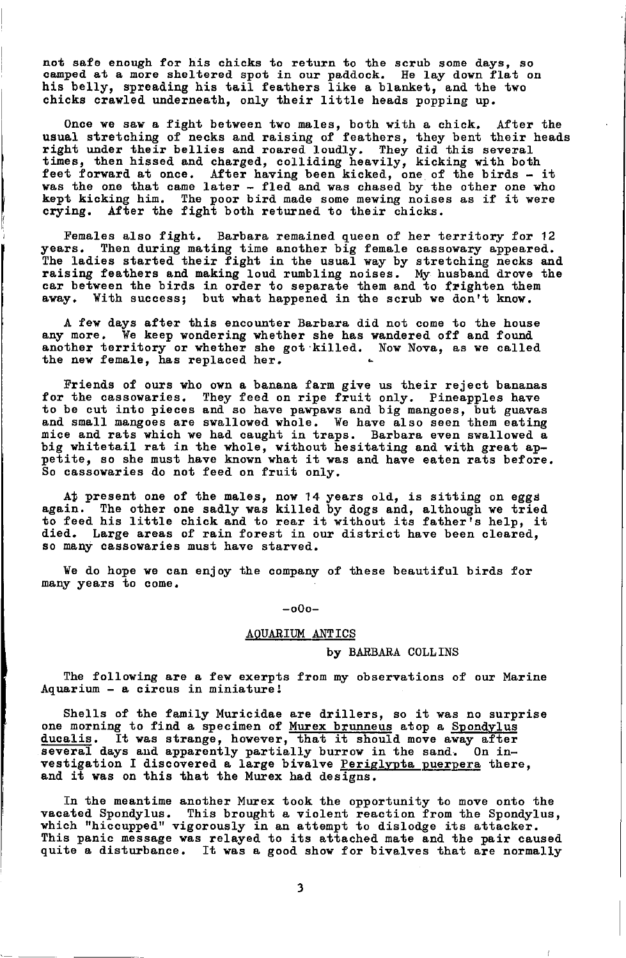not safe enough for his chicks to return to the scrub some days, so camped at a more sheltered spot in our paddock. He lay down flat on his belly, spreading his tail feathers like a blanket, and the two chicks crawled underneath, only their little heads popping up.

Once we saw a fight between two males, both with a chick. After the usual stretching of necks and raising of feathers, they bent their heads<br>right under their bellies and roared loudly. They did this several<br>times, then hissed and charged, colliding heavily, kicking with both feet forward at once. After having been kicked, one of the birds - it was the one that came later - fled and was chased by the other one who kept kicking him. The poor bird made some mewing noises as if it were  $\boldsymbol{\mathrm{crying.}}$  After the fight both returned to their chicks.

Females also fight. Barbara remained queen of her territory for 12 years. Then during mating time another big female cassowary appeared The ladies started their fight in the usual way by stretching necks and raising feathers and making loud rumbling noises. My husband drove the car between the birds in order to separate them and to frighten them away. With success; but what happened in the scrub we don't know.

A few days after this encounter Barbara did not come to the house any more. We keep wondering whether she has wandered off and found another territory or whether she got killed. Now Nova, as we called the new female, has replaced her.

Friends of ours who own a banana farm give us their reject bananas for the cassowaries. They feed on ripe fruit only. Pineapples have<br>to be cut into pieces and so have pawpaws and big mangoes, but guavas and small mangoes are swallowed whole. We have also seen them eating mice and rats which we had caught in traps. Barbara even swallowed a big whitetail rat in the whole, without hesitating and with great ap-<br>petite, so she must have known what it was and have eaten rats before. So cassowaries do not feed on fruit only.

At present one of the males, now 14 years old, is sitting on eggs again. The other one sadly was killed by dogs and, although we tried to feed his little chick and to rear it without its father<sup>1</sup>s help, it died. Large areas of rain forest in our district have been cleared, so many cassowaries must have starved.

We do hope we can enjoy the company of these beautiful birds for many years to come.

-o0o-

# AQUARIUM ANTICS

#### by BARBARA COLLINS

The following are a few exerpts from my observations of our Marine Aquarium - a circus in miniaturel

Shells of the family Muricidae are drillers, so it was no surprise one morning to find a specimen of Murex brunneus atop a Spondylus ducalis. It was strange, however, that it should move away after It was strange, however, that it should move away after several days and apparently partially burrow in the sand. On investigation I discovered a large bivalve Periglypta puerpera there, and it was on this that the Murex had designs.

fn the meantime another Murex took the opportunity to move onto the vacated Spondylus. This brought a violent reaction from the Spondylus,<br>which "hiccupped" vigorously in an attempt to dislodge its attacker. This panic message was relayed to its attached mate and the pair caused quite a disturbance. It was a good show for bivalves that are normally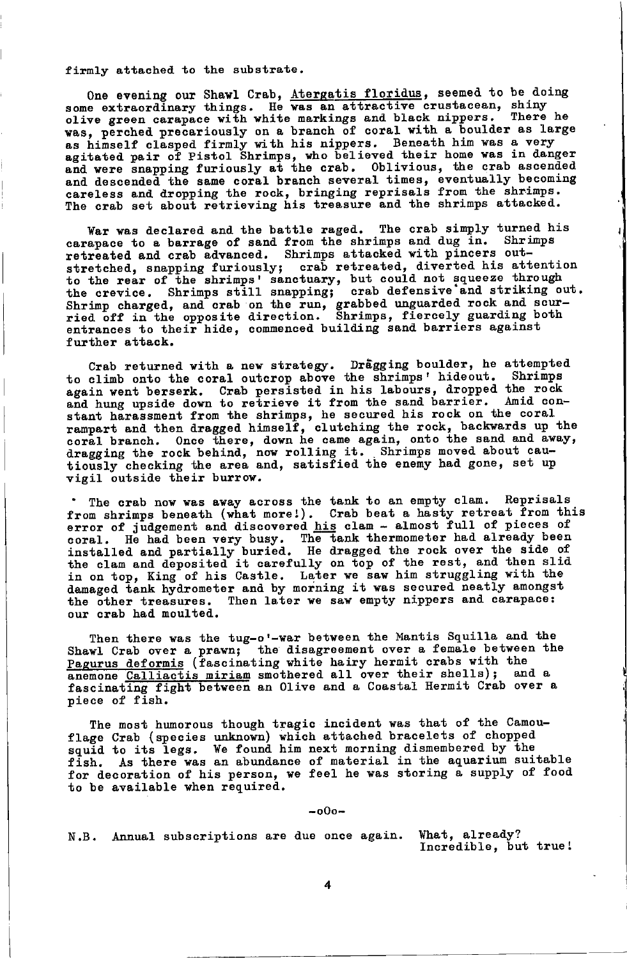firmly attached to the substrate.

One evening our Shawl Crab, Atergatis floridus, seemed to be doing some extraordinary things. He was an attractive crustacean, shiny olive green carapace with white markings and black nippers. There he was, perched precariously on a branch of coral with a boulder as large as himself clasped firmly with his nippers. Beneath him was a very agitated pair of Pistol Shrimps, who believed their home was in danger and were snapping furiously at the crab. Oblivious, the crab ascended and descended the same coral branch several times, eventually becoming careless and dropping the rock, bringing reprisals from the shrimps. The crab set about retrieving his treasure and the shrimps attacked.

War was declared and the battle raged. The crab simply turned his carapace to a barrage of sand from the shrimps and dug in. Shrimps retreated and crab advanced. Shrimps attacked with pincers outstretched, snapping furiously; crab retreated, diverted his attention to the rear of the shrimps' sanctuary, but could not squeeze through the crevice. Shrimps still snapping; crab defensive and striking out. Shrimp charged, and crab on the run, grabbed unguarded rock and scur-<br>ried off in the opposite direction. Shrimps, fiercely guarding both entrances to their hide, commenced building sand barriers against further attack.

Crab returned with a new strategy. Dragging boulder, he attempted<br>to climb onto the coral outcrop above the shrimps' hideout. Shrimps again went berserk. Crab persisted in his labours, dropped the rock<br>and hung upside down to retrieve it from the sand barrier. Amid constant harassment from the shrimps, he secured his rock on the coral rampart and then dragged himself, clutching the rock, backwards up the coral branch. Once there, down he came again, onto the sand and away, dragging the rock behind, now rolling it. Shrimps moved about cautiously checking the area and, satisfied the enemy had gone, set up vigil outside their burrow.

The crab now was away across the tank to an empty clam. Reprisals from shrimps beneath (what more!). Crab beat a hasty retreat from this error of judgement and discovered his clam - almost full of pieces of coral. He had been very busy. The tank thermometer had already been<br>installed and partially buried. He dragged the rock over the side of the clam and deposited it carefully on top of the rest, and then slid in on top, King of his Castle. Later we saw him struggling with the damaged tank hydrometer and by morning it was secured neatly amongst the other treasures. Then later we saw empty nippers and carapace: our crab had moulted.

Then there was the tug-o'-war between the Mantis Squilla and the Shawl Crab over a prawn; the disagreement over a female between the Pagurus deformis (fascinating white hairy hermit crabs with the anemone Calliactis miriam smothered all over their shells); and a fascinating fight between an Olive and a Coastal Hermit Crab over a piece of fish.

The most humorous though tragic incident was that of the Camou-Flage Crab (species unknown) which attached bracelets of chopped<br>squid to its legs. We found him next morning dismembered by the<br>fish. As there was an abundance of material in the aquarium suitable for decoration of his person, we feel he was storing a supply of food to be available when required.

 $-000-$ 

What, already? N.B. Annual subscriptions are due once again. Incredible, but true!

4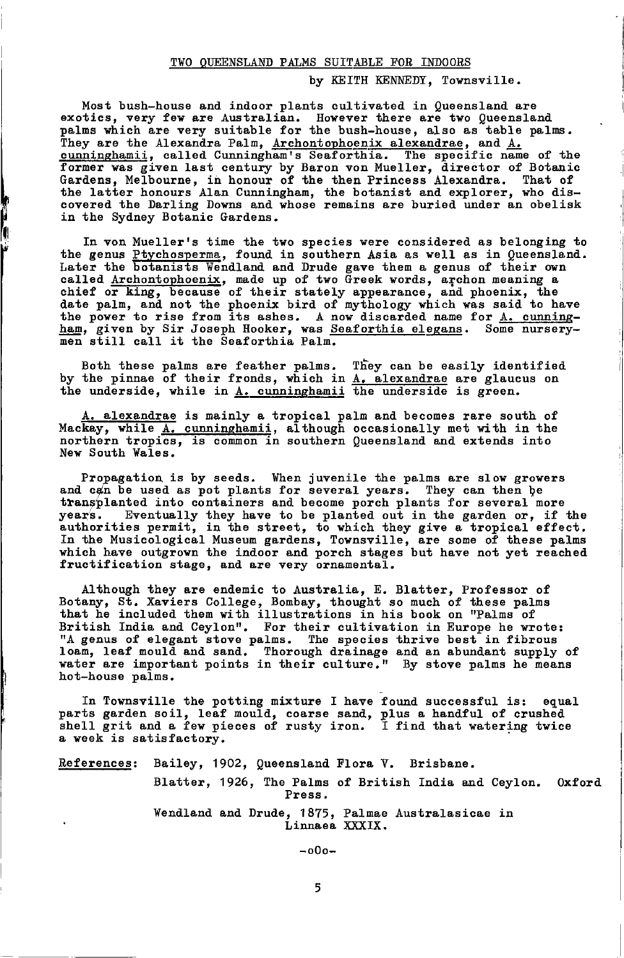# TWO QUEENSLAND PALMS SUITABLE FOR INDOORS

#### by KEITH KENNEDY, Townsville.

Most bush-house and indoor plants cultivated in Queensland are exotics, very few are Australian. However there are two Queensland palms which are very suitable for the bush-house, also as table palms. They are the Alexandra Palm, Archontophoenix alexandrae, and A. cunninghamii, called Cunningham's Seaforthia. The specific name of the former was given last century by Baron von Mueller, director of Botanic That of Gardens, Melbourne, in honour of the then Princess Alexandra. the latter honours Alan Cunningham, the botanist and explorer, who discovered the Darling Downs and whose remains are buried under an obelisk in the Sydney Botanic Gardens.

In von Mueller's time the two species were considered as belonging to the genus Ptychosperma, found in southern Asia as well as in Queensland. Later the botanists Wendland and Drude gave them a genus of their own called Archontophoenix, made up of two Greek words, archon meaning a chief or king, because of their stately appearance, and phoenix, the date palm, and not the phoenix bird of mythology which was said to have the power to rise from its ashes. A now discarded name for A. cunningham, given by Sir Joseph Hooker, was Seaforthia elegans. Some nurserymen still call it the Seaforthia Palm.

Both these palms are feather palms. They can be easily identified by the pinnae of their fronds, which in  $\frac{1}{4}$ , alexandrae are glaucus on the underside, while in  $\frac{1}{4}$ , cunninghamii the underside is green.

A. alexandrae is mainly a tropical palm and becomes rare south of Mackay, while A. cunninghamii, although occasionally met with in the northern tropics, is common in southern Queensland and extends into New South Wales.

Propagation is by seeds. When juvenile the palms are slow growers and can be used as pot plants for several years. They can then be transplanted into containers and become porch plants for several more vears. Eventually they have to be planted out in the garden or, if the authorities permit, in the street, to which they give a tropical effect. In the Musicological Museum gardens, Townsville, are some of these palms which have outgrown the indoor and porch stages but have not yet reached fructification stage, and are very ornamental.

Although they are endemic to Australia, E. Blatter, Professor of Botany, St. Xaviers College, Bombay, thought so much of these palms that he included them with illustrations in his book on "Palms of British India and Ceylon". For their cultivation in Europe he wrote: "A genus of elegant stove palms. The species thrive best in fibrous loam, leaf mould and sand. Thorough drainage and an abundant supply of water are important points in their culture." By stove palms he means hot-house palms.

In Townsville the potting mixture I have found successful is: equal parts garden soil, leaf mould, coarse sand, plus a handful of crushed shell grit and a few pieces of rusty iron. I find that watering twice a week is satisfactory.

References: Bailey, 1902, Queensland Flora V. Brisbane.

Blatter, 1926, The Palms of British India and Ceylon. 0xford Press.

Wendland and Drude, 1875, Palmae Australasicae in Linnaea XXXIX.

 $-000-$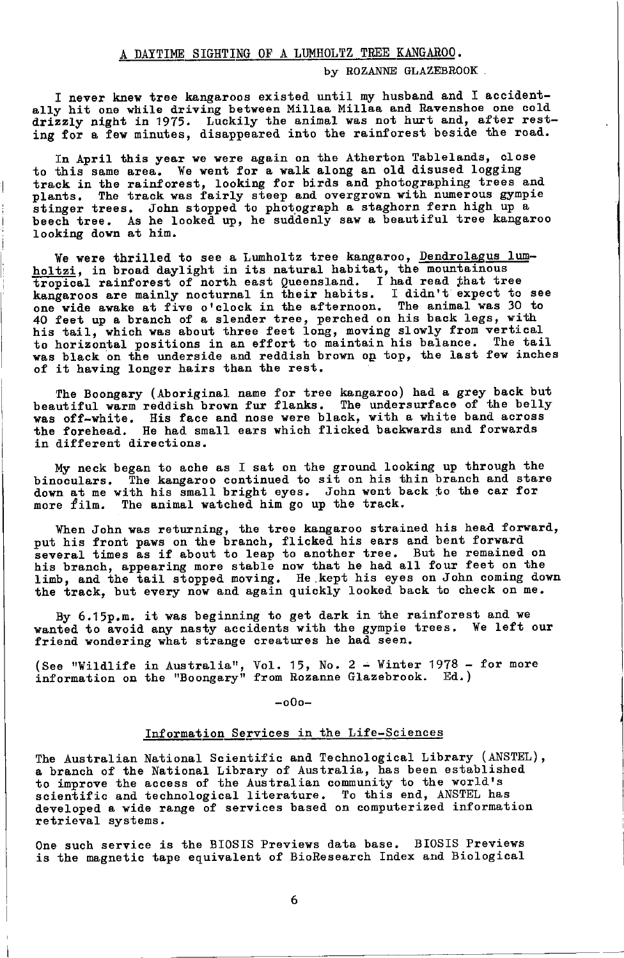# by ROZANNE GLAZEBROOK

I never knew tree kangaroos existed until my husband and I accidentally hit one while driving between Millaa Millaa and Ravenshoe one cold drizzly night in 1975. Luckily the animal was not hurt and, after rest-<br>ing for a few minutes, disappeared into the rainforest beside the road.

In April this year we were again on the Atherton Tablelands, close to this same area. We went for a walk along an old disused logging track in the rainforest, looking for birds and photographing trees and plants. The track was fairly steep and overgrown with numerous gympie stinger trees. John stopped to photograph a staghorn fern high up a beech tree. As he looked up, he suddenly saw a beautiful tree kangaroo looking down at him.

We were thrilled to see a Lumholtz tree kangaroo, Dendrolagus lumholtzi, in broad daylight in its natural habitat, the mountainous noitz1, in broad daylight in its natural nabitat, the mountainous<br>tropical rainforest of north east Queensland. I had read that tree<br>kangaroos are mainly nocturnal in their habits. I didn't expect to see<br>one wide awake at of it having longer hairs than the rest.

The Boongary (Aboriginal name for tree kangaroo) had a grey back but beautiful warm reddish brown fur flanks. The undersurface of the belly was off-white. His face and nose were black, with a white band across the forehead. He had small ears which flicked backwards and forwards<br>in different directions.

My neck began to ache as I sat on the ground looking up through the<br>binoculars. The kangaroo continued to sit on his thin branch and stare<br>down at me with his small bright eyes. John went back to the car for more film. The animal watched him go up the track.

When John was returning, the tree kangaroo strained his head forward, numerous finite branch, flicked his ears and bent forward<br>several times as if about to leap to another tree. But he remained on<br>his branch, appearing more stable now that he had all four feet on the limb, and the tail stopped moving. He kept his eyes on John coming down<br>the track, but every now and again quickly looked back to check on me.

By 6.15p.m. it was beginning to get dark in the rainforest and we wanted to avoid any nasty accidents with the gympie trees. We left our friend wondering what strange creatures he had seen.

(See "Wildlife in Australia", Vol. 15, No. 2 - Winter 1978 - for more information on the "Boongary" from Rozanne Glazebrook. Ed.)

 $-000-$ 

# Information Services in the Life-Sciences

The Australian National Scientific and Technological Library (ANSTEL), a branch of the National Library of Australia, has been established<br>to improve the access of the Australian community to the world's scientific and technological literature. To this end, ANSTEL has developed a wide range of services based on computerized information retrieval systems.

One such service is the BIOSIS Previews data base. BIOSIS Previews is the magnetic tape equivalent of BioResearch Index and Biological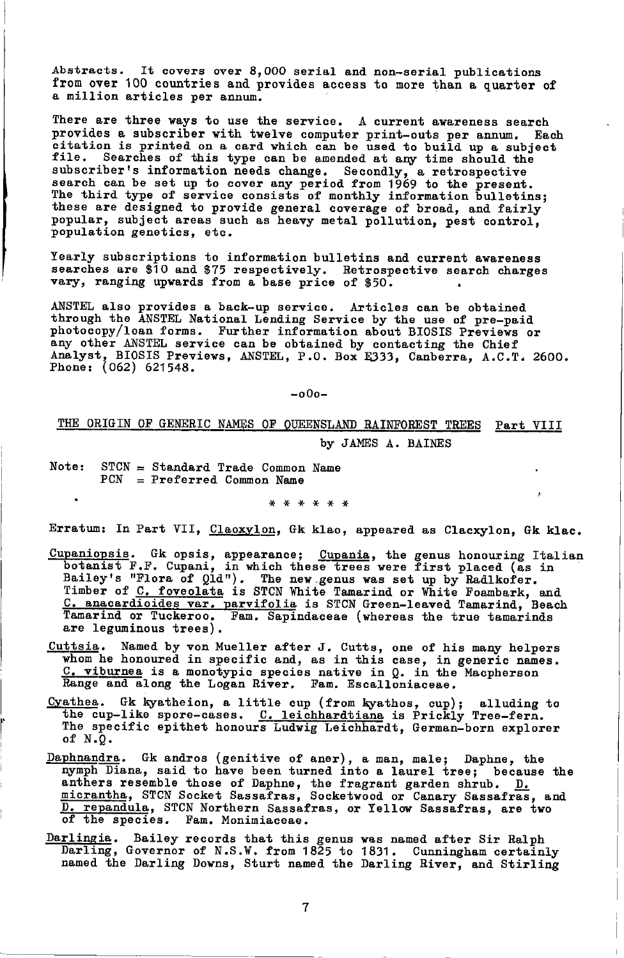Abstracts. It covers over 8,000 serial and non-serial publications from over 100 countries and provides access to more than a quarter of a million articles per annum.

There are three ways to use the service. A current awareness search provides a subscriber with twelve computer print-outs per annum. Each<br>citation is printed on a card which can be used to build up a subject<br>file. Searches of this type can be amended at any time should the subscriber's information needs change. Secondly, a retrospective<br>search can be set up to cover any period from 1969 to the present.<br>The third type of service consists of monthly information bulletins; these are designed to provide general coverage of broad, and fairly popular, subject areas such as heavy metal pollution, pest control, population genetics, etc.

Yearly subscriptions to information bulletins and current awareness searches are \$10 and \$75 respectively. Retrospective search charges<br>vary, ranging upwards from a base price of \$50.

ANSTEL also provides a back-up service. Articles can be obtained through the ANSTEL National Lending Service by the use of pre-paid photocopy/loan forms. Further information about BIOSIS Previews or any other ANSTEL service can be obtained by contacting the Chief<br>Analyst, BIOSIS Previews, ANSTEL, P.O. Box E333, Canberra, A.C.T. 2600. Phone: (062) 621548.

 $-000-$ 

#### THE ORIGIN OF GENERIC NAMES OF QUEENSLAND RAINFOREST TREES Part VIII

by JAMES A. BAINES

Note:  $STCN = Standard Trade Common Name$  $PCN = Preferred Common Name$ 

\* \* \* \* \* \*

Erratum: In Part VII, Claoxylon, Gk klao, appeared as Clacxylon, Gk klac.

- Cupaniopsis. Gk opsis, appearance; Cupania, the genus honouring Italian botanist F.F. Cupani, in which these trees were first placed (as in Bailey's "Flora of Qld"). The new genus was set up by Radlkofer. Timber of C. foveolata is STCN White Tamarind or White Foambark, and C. anacardioides var. parvifolia is STCN Green-leaved Tamarind, Beach Tamarind or Tuckeroo. Fam. Sapindaceae (whereas the true tamarinds are leguminous trees).
- <u>Cuttsia</u>. Named by von Mueller after J. Cutts, one of his many helpers<br>whom he honoured in specific and, as in this case, in generic names.<br><u>C. viburnea</u> is a monotypic species native in Q. in the Macpherson Range and along the Logan River. Fam. Escalloniaceae.
- Cyathea. Gk kyatheion, a little cup (from kyathos, cup); alluding to the cup-like spore-cases. C. leichhardtiana is Prickly Tree-fern. The specific epithet honours Ludwig Leichhardt, German-born explorer of  $N.0$ .
- Daphnandra. Gk andros (genitive of aner), a man, male; Daphne, the nymph Diana, said to have been turned into a laurel tree; because the anthers resemble those of Daphne, the fragrant garden shrub. D. micrantha, STCN Socket Sassafras, Socketwood or Canary Sassafras, and D. repandula, STCN Northern Sassafras, or Yellow Sassafras, are two of the species. Fam. Monimiaceae.
- Darlingia. Bailey records that this genus was named after Sir Ralph Darling, Governor of N.S.W. from 1825 to 1831. Cunningham certainly named the Darling Downs, Sturt named the Darling River, and Stirling

 $\overline{7}$